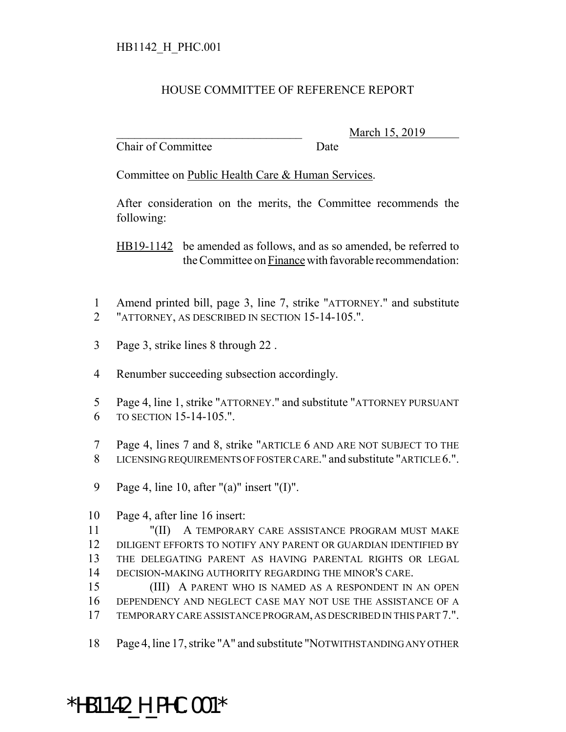## HOUSE COMMITTEE OF REFERENCE REPORT

Chair of Committee Date

March 15, 2019

Committee on Public Health Care & Human Services.

After consideration on the merits, the Committee recommends the following:

HB19-1142 be amended as follows, and as so amended, be referred to the Committee on Finance with favorable recommendation:

- Amend printed bill, page 3, line 7, strike "ATTORNEY." and substitute "ATTORNEY, AS DESCRIBED IN SECTION 15-14-105.".
- Page 3, strike lines 8 through 22 .
- Renumber succeeding subsection accordingly.
- Page 4, line 1, strike "ATTORNEY." and substitute "ATTORNEY PURSUANT TO SECTION 15-14-105.".
- Page 4, lines 7 and 8, strike "ARTICLE 6 AND ARE NOT SUBJECT TO THE LICENSING REQUIREMENTS OF FOSTER CARE." and substitute "ARTICLE 6.".
- Page 4, line 10, after "(a)" insert "(I)".
- Page 4, after line 16 insert:

 "(II) A TEMPORARY CARE ASSISTANCE PROGRAM MUST MAKE DILIGENT EFFORTS TO NOTIFY ANY PARENT OR GUARDIAN IDENTIFIED BY THE DELEGATING PARENT AS HAVING PARENTAL RIGHTS OR LEGAL DECISION-MAKING AUTHORITY REGARDING THE MINOR'S CARE.

 (III) A PARENT WHO IS NAMED AS A RESPONDENT IN AN OPEN DEPENDENCY AND NEGLECT CASE MAY NOT USE THE ASSISTANCE OF A TEMPORARY CARE ASSISTANCE PROGRAM, AS DESCRIBED IN THIS PART 7.".

Page 4, line 17, strike "A" and substitute "NOTWITHSTANDING ANY OTHER

## \*HB1142\_H\_PHC.001\*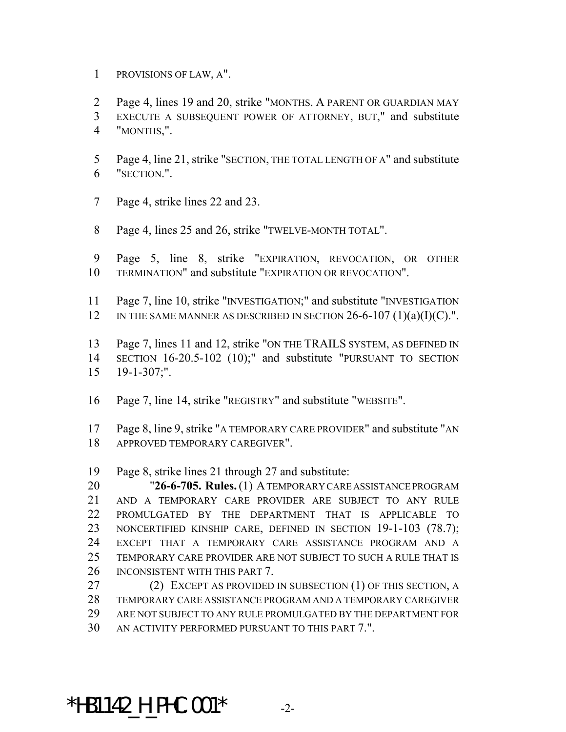PROVISIONS OF LAW, A".

Page 4, lines 19 and 20, strike "MONTHS. A PARENT OR GUARDIAN MAY

- EXECUTE A SUBSEQUENT POWER OF ATTORNEY, BUT," and substitute
- "MONTHS,".
- Page 4, line 21, strike "SECTION, THE TOTAL LENGTH OF A" and substitute "SECTION.".
- Page 4, strike lines 22 and 23.
- Page 4, lines 25 and 26, strike "TWELVE-MONTH TOTAL".
- Page 5, line 8, strike "EXPIRATION, REVOCATION, OR OTHER TERMINATION" and substitute "EXPIRATION OR REVOCATION".
- Page 7, line 10, strike "INVESTIGATION;" and substitute "INVESTIGATION 12 IN THE SAME MANNER AS DESCRIBED IN SECTION  $26-6-107$  (1)(a)(I)(C).".

 Page 7, lines 11 and 12, strike "ON THE TRAILS SYSTEM, AS DEFINED IN SECTION 16-20.5-102 (10);" and substitute "PURSUANT TO SECTION 19-1-307;".

- Page 7, line 14, strike "REGISTRY" and substitute "WEBSITE".
- Page 8, line 9, strike "A TEMPORARY CARE PROVIDER" and substitute "AN APPROVED TEMPORARY CAREGIVER".

Page 8, strike lines 21 through 27 and substitute:

 "**26-6-705. Rules.** (1) A TEMPORARY CARE ASSISTANCE PROGRAM AND A TEMPORARY CARE PROVIDER ARE SUBJECT TO ANY RULE PROMULGATED BY THE DEPARTMENT THAT IS APPLICABLE TO NONCERTIFIED KINSHIP CARE, DEFINED IN SECTION 19-1-103 (78.7); EXCEPT THAT A TEMPORARY CARE ASSISTANCE PROGRAM AND A TEMPORARY CARE PROVIDER ARE NOT SUBJECT TO SUCH A RULE THAT IS 26 INCONSISTENT WITH THIS PART 7.

 (2) EXCEPT AS PROVIDED IN SUBSECTION (1) OF THIS SECTION, A TEMPORARY CARE ASSISTANCE PROGRAM AND A TEMPORARY CAREGIVER ARE NOT SUBJECT TO ANY RULE PROMULGATED BY THE DEPARTMENT FOR AN ACTIVITY PERFORMED PURSUANT TO THIS PART 7.".

## \*HB1142 H PHC.001\*  $-2$ -